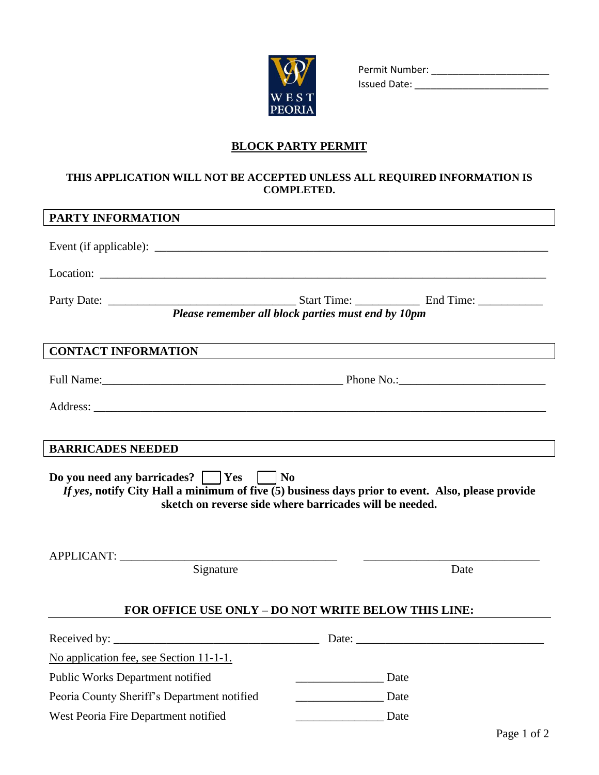

Permit Number: \_\_\_\_\_\_\_\_\_\_\_\_\_\_\_\_\_\_\_\_\_\_ Issued Date: \_\_\_\_\_\_\_\_\_\_\_\_\_\_\_\_\_\_\_\_\_\_\_\_\_

## **BLOCK PARTY PERMIT**

## **THIS APPLICATION WILL NOT BE ACCEPTED UNLESS ALL REQUIRED INFORMATION IS COMPLETED.**

| PARTY INFORMATION                                                                                                                                                                                    |             |
|------------------------------------------------------------------------------------------------------------------------------------------------------------------------------------------------------|-------------|
|                                                                                                                                                                                                      |             |
| Location: Location:                                                                                                                                                                                  |             |
|                                                                                                                                                                                                      |             |
| Please remember all block parties must end by 10pm                                                                                                                                                   |             |
| <b>CONTACT INFORMATION</b>                                                                                                                                                                           |             |
|                                                                                                                                                                                                      |             |
|                                                                                                                                                                                                      |             |
|                                                                                                                                                                                                      |             |
| <b>BARRICADES NEEDED</b>                                                                                                                                                                             |             |
| Do you need any barricades? Ves No<br>If yes, notify City Hall a minimum of five $(5)$ business days prior to event. Also, please provide<br>sketch on reverse side where barricades will be needed. |             |
| APPLICANT:                                                                                                                                                                                           |             |
| Signature                                                                                                                                                                                            | Date        |
| FOR OFFICE USE ONLY - DO NOT WRITE BELOW THIS LINE:                                                                                                                                                  |             |
|                                                                                                                                                                                                      |             |
| No application fee, see Section 11-1-1.                                                                                                                                                              |             |
| Public Works Department notified                                                                                                                                                                     | Date        |
| Peoria County Sheriff's Department notified                                                                                                                                                          | Date        |
| West Peoria Fire Department notified                                                                                                                                                                 | <b>Date</b> |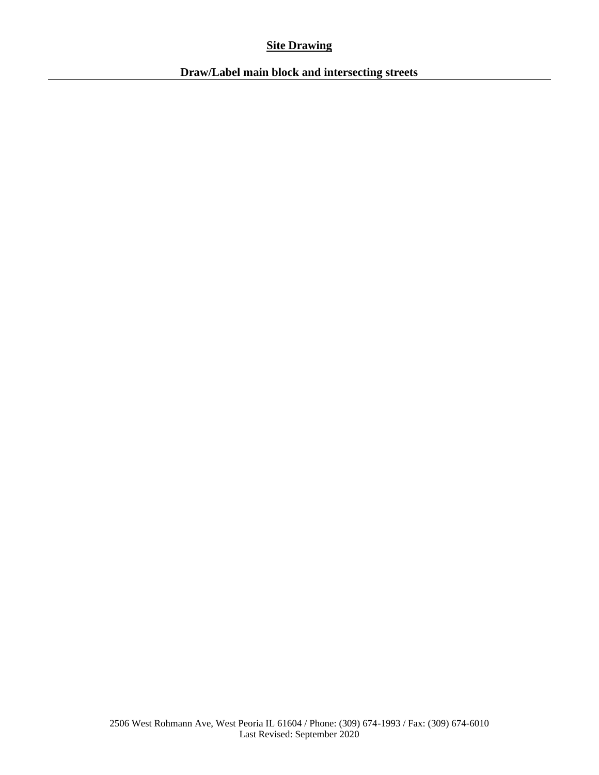# **Site Drawing**

**Draw/Label main block and intersecting streets**